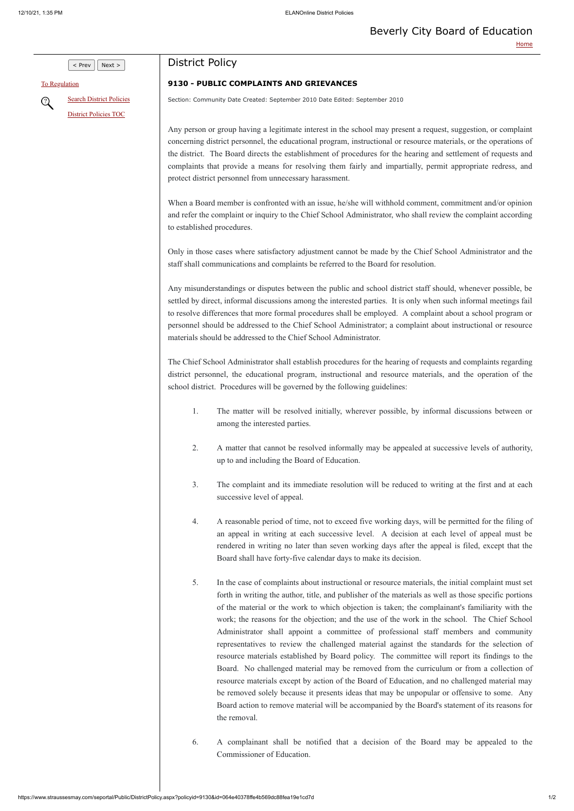$\vert$  Prev  $\vert$  Next >

[To Regulation](https://www.straussesmay.com/seportal/Public/DistrictRegulation.aspx?RegulationID=9130&id=064e40378ffe4b569dc88fea19e1cd7d)

[Search District Policies](https://www.straussesmay.com/seportal/Public/districtpolicysearch.aspx?id=064e40378ffe4b569dc88fea19e1cd7d) Q [District Policies TOC](https://www.straussesmay.com/seportal/Public/districtpolicyTOC.aspx?id=064e40378ffe4b569dc88fea19e1cd7d)

## District Policy

## **9130 - PUBLIC COMPLAINTS AND GRIEVANCES**

Section: Community Date Created: September 2010 Date Edited: September 2010

When a Board member is confronted with an issue, he/she will withhold comment, commitment and/or opinion and refer the complaint or inquiry to the Chief School Administrator, who shall review the complaint according to established procedures.

Any person or group having a legitimate interest in the school may present a request, suggestion, or complaint concerning district personnel, the educational program, instructional or resource materials, or the operations of the district. The Board directs the establishment of procedures for the hearing and settlement of requests and complaints that provide a means for resolving them fairly and impartially, permit appropriate redress, and protect district personnel from unnecessary harassment.

Only in those cases where satisfactory adjustment cannot be made by the Chief School Administrator and the staff shall communications and complaints be referred to the Board for resolution.

Any misunderstandings or disputes between the public and school district staff should, whenever possible, be settled by direct, informal discussions among the interested parties. It is only when such informal meetings fail to resolve differences that more formal procedures shall be employed. A complaint about a school program or personnel should be addressed to the Chief School Administrator; a complaint about instructional or resource materials should be addressed to the Chief School Administrator.

The Chief School Administrator shall establish procedures for the hearing of requests and complaints regarding district personnel, the educational program, instructional and resource materials, and the operation of the school district. Procedures will be governed by the following guidelines:

- 1. The matter will be resolved initially, wherever possible, by informal discussions between or among the interested parties.
- 2. A matter that cannot be resolved informally may be appealed at successive levels of authority, up to and including the Board of Education.
- 3. The complaint and its immediate resolution will be reduced to writing at the first and at each successive level of appeal.
- 4. A reasonable period of time, not to exceed five working days, will be permitted for the filing of an appeal in writing at each successive level. A decision at each level of appeal must be rendered in writing no later than seven working days after the appeal is filed, except that the Board shall have forty-five calendar days to make its decision.
- 5. In the case of complaints about instructional or resource materials, the initial complaint must set forth in writing the author, title, and publisher of the materials as well as those specific portions of the material or the work to which objection is taken; the complainant's familiarity with the

work; the reasons for the objection; and the use of the work in the school. The Chief School Administrator shall appoint a committee of professional staff members and community representatives to review the challenged material against the standards for the selection of resource materials established by Board policy. The committee will report its findings to the Board. No challenged material may be removed from the curriculum or from a collection of resource materials except by action of the Board of Education, and no challenged material may be removed solely because it presents ideas that may be unpopular or offensive to some. Any Board action to remove material will be accompanied by the Board's statement of its reasons for the removal.

6. A complainant shall be notified that a decision of the Board may be appealed to the Commissioner of Education.